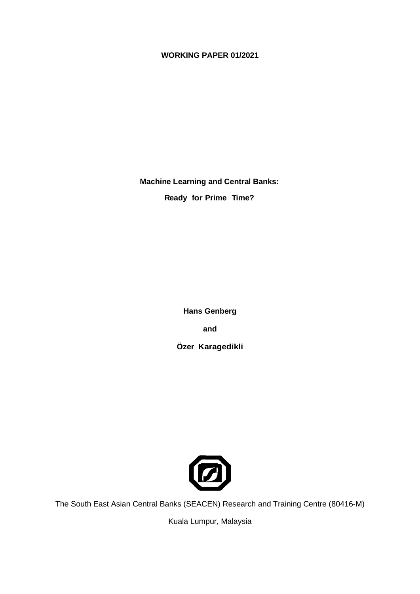#### **WORKING PAPER 01/2021**

**Machine Learning and Central Banks:**

**Ready for Prime Time?**

**Hans Genberg**

**and** 

**Özer Karagedikli**



The South East Asian Central Banks (SEACEN) Research and Training Centre (80416-M)

Kuala Lumpur, Malaysia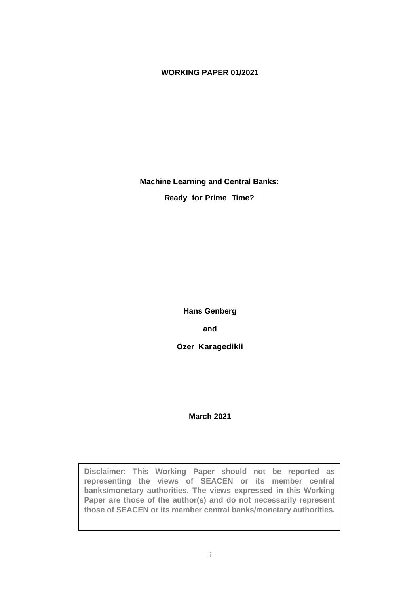#### **WORKING PAPER 01/2021**

**Machine Learning and Central Banks:**

**Ready for Prime Time?**

**Hans Genberg**

**and** 

**Özer Karagedikli**

**March 2021**

**Disclaimer: This Working Paper should not be reported as representing the views of SEACEN or its member central banks/monetary authorities. The views expressed in this Working Paper are those of the author(s) and do not necessarily represent those of SEACEN or its member central banks/monetary authorities.**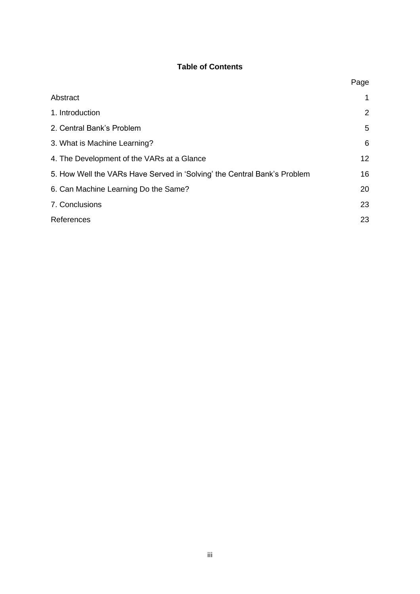#### **Table of Contents**

|                                                                          | Page           |
|--------------------------------------------------------------------------|----------------|
| Abstract                                                                 | $\mathbf{1}$   |
| 1. Introduction                                                          | $\overline{2}$ |
| 2. Central Bank's Problem                                                | 5              |
| 3. What is Machine Learning?                                             | 6              |
| 4. The Development of the VARs at a Glance                               | 12             |
| 5. How Well the VARs Have Served in 'Solving' the Central Bank's Problem | 16             |
| 6. Can Machine Learning Do the Same?                                     | 20             |
| 7. Conclusions                                                           | 23             |
| References                                                               | 23             |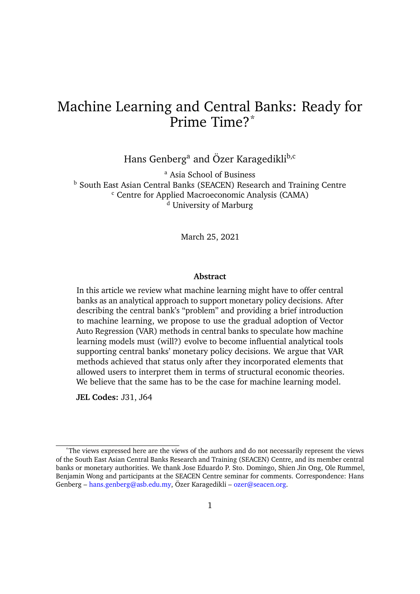# Machine Learning and Central Banks: Ready for Prime Time?\*

Hans Genberg<sup>a</sup> and Özer Karagedikli<sup>b,c</sup>

<sup>a</sup> Asia School of Business

**b** South East Asian Central Banks (SEACEN) Research and Training Centre <sup>c</sup> Centre for Applied Macroeconomic Analysis (CAMA) <sup>d</sup> University of Marburg

March 25, 2021

#### **Abstract**

In this article we review what machine learning might have to offer central banks as an analytical approach to support monetary policy decisions. After describing the central bank's "problem" and providing a brief introduction to machine learning, we propose to use the gradual adoption of Vector Auto Regression (VAR) methods in central banks to speculate how machine learning models must (will?) evolve to become influential analytical tools supporting central banks' monetary policy decisions. We argue that VAR methods achieved that status only after they incorporated elements that allowed users to interpret them in terms of structural economic theories. We believe that the same has to be the case for machine learning model.

**JEL Codes:** J31, J64

<sup>\*</sup>The views expressed here are the views of the authors and do not necessarily represent the views of the South East Asian Central Banks Research and Training (SEACEN) Centre, and its member central banks or monetary authorities. We thank Jose Eduardo P. Sto. Domingo, Shien Jin Ong, Ole Rummel, Benjamin Wong and participants at the SEACEN Centre seminar for comments. Correspondence: Hans Genberg – hans.genberg@asb.edu.my, Özer Karagedikli – ozer@seacen.org.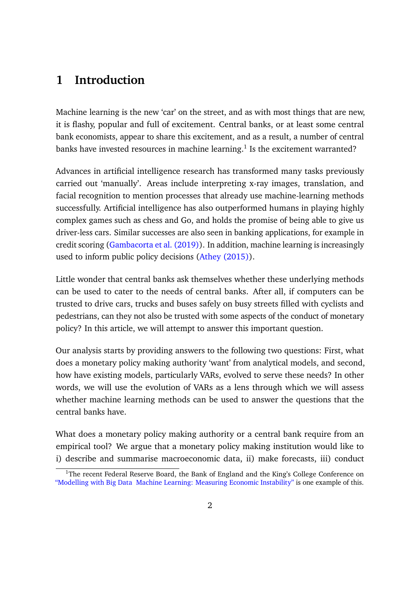## **1 Introduction**

Machine learning is the new 'car' on the street, and as with most things that are new, it is flashy, popular and full of excitement. Central banks, or at least some central bank economists, appear to share this excitement, and as a result, a number of central banks have invested resources in machine learning.<sup>1</sup> Is the excitement warranted?

Advances in artificial intelligence research has transformed many tasks previously carried out 'manually'. Areas include interpreting x-ray images, translation, and facial recognition to mention processes that already use machine-learning methods successfully. Artificial intelligence has also outperformed humans in playing highly complex games such as chess and Go, and holds the promise of being able to give us driver-less cars. Similar successes are also seen in banking applications, for example in credit scoring (Gambacorta et al. (2019)). In addition, machine learning is increasingly used to inform public policy decisions (Athey (2015)).

Little wonder that central banks ask themselves whether these underlying methods can be used to cater to the needs of central banks. After all, if computers can be trusted to drive cars, trucks and buses safely on busy streets filled with cyclists and pedestrians, can they not also be trusted with some aspects of the conduct of monetary policy? In this article, we will attempt to answer this important question.

Our analysis starts by providing answers to the following two questions: First, what does a monetary policy making authority 'want' from analytical models, and second, how have existing models, particularly VARs, evolved to serve these needs? In other words, we will use the evolution of VARs as a lens through which we will assess whether machine learning methods can be used to answer the questions that the central banks have.

What does a monetary policy making authority or a central bank require from an empirical tool? We argue that a monetary policy making institution would like to i) describe and summarise macroeconomic data, ii) make forecasts, iii) conduct

<sup>&</sup>lt;sup>1</sup>The recent Federal Reserve Board, the Bank of England and the King's College Conference on "Modelling with Big Data Machine Learning: Measuring Economic Instability" is one example of this.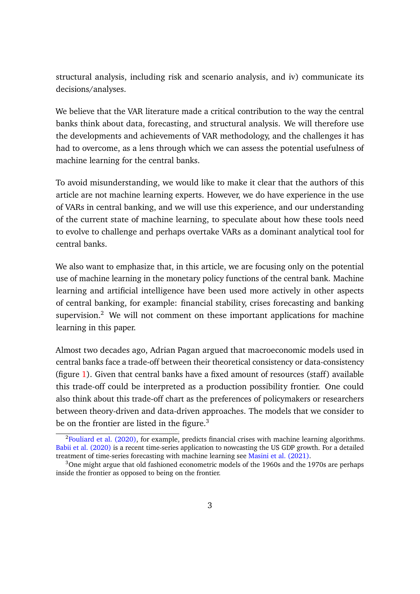structural analysis, including risk and scenario analysis, and iv) communicate its decisions/analyses.

We believe that the VAR literature made a critical contribution to the way the central banks think about data, forecasting, and structural analysis. We will therefore use the developments and achievements of VAR methodology, and the challenges it has had to overcome, as a lens through which we can assess the potential usefulness of machine learning for the central banks.

To avoid misunderstanding, we would like to make it clear that the authors of this article are not machine learning experts. However, we do have experience in the use of VARs in central banking, and we will use this experience, and our understanding of the current state of machine learning, to speculate about how these tools need to evolve to challenge and perhaps overtake VARs as a dominant analytical tool for central banks.

We also want to emphasize that, in this article, we are focusing only on the potential use of machine learning in the monetary policy functions of the central bank. Machine learning and artificial intelligence have been used more actively in other aspects of central banking, for example: financial stability, crises forecasting and banking supervision.<sup>2</sup> We will not comment on these important applications for machine learning in this paper.

Almost two decades ago, Adrian Pagan argued that macroeconomic models used in central banks face a trade-off between their theoretical consistency or data-consistency (figure 1). Given that central banks have a fixed amount of resources (staff) available this trade-off could be interpreted as a production possibility frontier. One could also think about this trade-off chart as the preferences of policymakers or researchers between theory-driven and data-driven approaches. The models that we consider to be on the frontier are listed in the figure. $3$ 

 $^{2}$ Fouliard et al. (2020), for example, predicts financial crises with machine learning algorithms. Babii et al. (2020) is a recent time-series application to nowcasting the US GDP growth. For a detailed treatment of time-series forecasting with machine learning see Masini et al. (2021).

<sup>&</sup>lt;sup>3</sup>One might argue that old fashioned econometric models of the 1960s and the 1970s are perhaps inside the frontier as opposed to being on the frontier.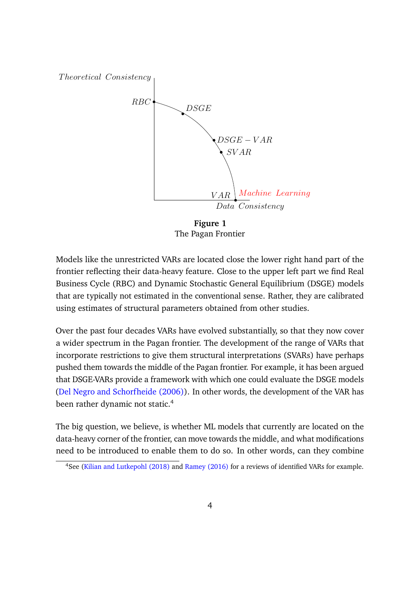

**Figure 1** The Pagan Frontier

Models like the unrestricted VARs are located close the lower right hand part of the frontier reflecting their data-heavy feature. Close to the upper left part we find Real Business Cycle (RBC) and Dynamic Stochastic General Equilibrium (DSGE) models that are typically not estimated in the conventional sense. Rather, they are calibrated using estimates of structural parameters obtained from other studies.

Over the past four decades VARs have evolved substantially, so that they now cover a wider spectrum in the Pagan frontier. The development of the range of VARs that incorporate restrictions to give them structural interpretations (SVARs) have perhaps pushed them towards the middle of the Pagan frontier. For example, it has been argued that DSGE-VARs provide a framework with which one could evaluate the DSGE models (Del Negro and Schorfheide (2006)). In other words, the development of the VAR has been rather dynamic not static.<sup>4</sup>

The big question, we believe, is whether ML models that currently are located on the data-heavy corner of the frontier, can move towards the middle, and what modifications need to be introduced to enable them to do so. In other words, can they combine

<sup>4</sup>See (Kilian and Lutkepohl (2018) and Ramey (2016) for a reviews of identified VARs for example.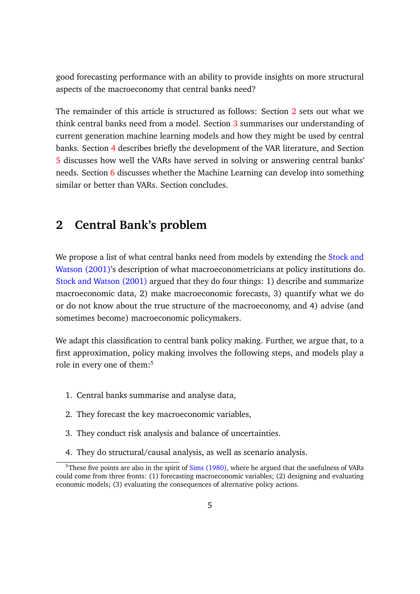good forecasting performance with an ability to provide insights on more structural aspects of the macroeconomy that central banks need?

The remainder of this article is structured as follows: Section 2 sets out what we think central banks need from a model. Section 3 summarises our understanding of current generation machine learning models and how they might be used by central banks. Section 4 describes briefly the development of the VAR literature, and Section 5 discusses how well the VARs have served in solving or answering central banks' needs. Section 6 discusses whether the Machine Learning can develop into something similar or better than VARs. Section concludes.

### **2 Central Bank's problem**

We propose a list of what central banks need from models by extending the Stock and Watson (2001)'s description of what macroeconometricians at policy institutions do. Stock and Watson (2001) argued that they do four things: 1) describe and summarize macroeconomic data, 2) make macroeconomic forecasts, 3) quantify what we do or do not know about the true structure of the macroeconomy, and 4) advise (and sometimes become) macroeconomic policymakers.

We adapt this classification to central bank policy making. Further, we argue that, to a first approximation, policy making involves the following steps, and models play a role in every one of them:<sup>5</sup>

- 1. Central banks summarise and analyse data,
- 2. They forecast the key macroeconomic variables,
- 3. They conduct risk analysis and balance of uncertainties.
- 4. They do structural/causal analysis, as well as scenario analysis.

 $5$ These five points are also in the spirit of  $Sims (1980)$ , where he argued that the usefulness of VARs could come from three fronts: (1) forecasting macroeconomic variables; (2) designing and evaluating economic models; (3) evaluating the consequences of alternative policy actions.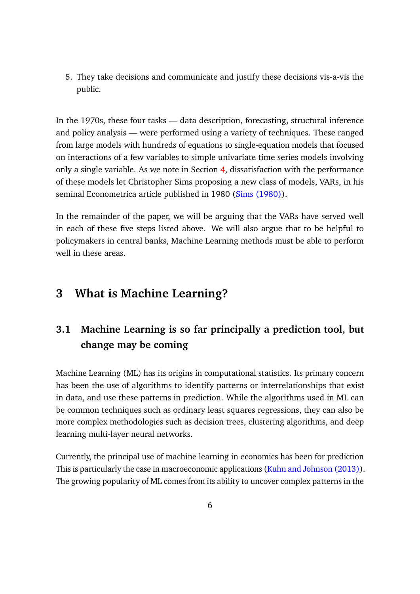5. They take decisions and communicate and justify these decisions vis-a-vis the public.

In the 1970s, these four tasks — data description, forecasting, structural inference and policy analysis — were performed using a variety of techniques. These ranged from large models with hundreds of equations to single-equation models that focused on interactions of a few variables to simple univariate time series models involving only a single variable. As we note in Section 4, dissatisfaction with the performance of these models let Christopher Sims proposing a new class of models, VARs, in his seminal Econometrica article published in 1980 (Sims (1980)).

In the remainder of the paper, we will be arguing that the VARs have served well in each of these five steps listed above. We will also argue that to be helpful to policymakers in central banks, Machine Learning methods must be able to perform well in these areas.

# **3 What is Machine Learning?**

# **3.1 Machine Learning is so far principally a prediction tool, but change may be coming**

Machine Learning (ML) has its origins in computational statistics. Its primary concern has been the use of algorithms to identify patterns or interrelationships that exist in data, and use these patterns in prediction. While the algorithms used in ML can be common techniques such as ordinary least squares regressions, they can also be more complex methodologies such as decision trees, clustering algorithms, and deep learning multi-layer neural networks.

Currently, the principal use of machine learning in economics has been for prediction This is particularly the case in macroeconomic applications (Kuhn and Johnson (2013)). The growing popularity of ML comes from its ability to uncover complex patterns in the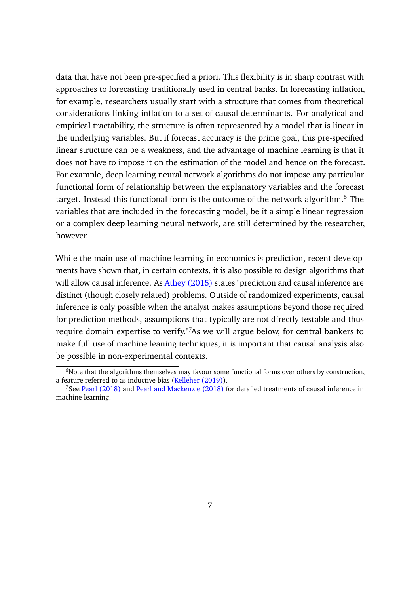data that have not been pre-specified a priori. This flexibility is in sharp contrast with approaches to forecasting traditionally used in central banks. In forecasting inflation, for example, researchers usually start with a structure that comes from theoretical considerations linking inflation to a set of causal determinants. For analytical and empirical tractability, the structure is often represented by a model that is linear in the underlying variables. But if forecast accuracy is the prime goal, this pre-specified linear structure can be a weakness, and the advantage of machine learning is that it does not have to impose it on the estimation of the model and hence on the forecast. For example, deep learning neural network algorithms do not impose any particular functional form of relationship between the explanatory variables and the forecast target. Instead this functional form is the outcome of the network algorithm.<sup>6</sup> The variables that are included in the forecasting model, be it a simple linear regression or a complex deep learning neural network, are still determined by the researcher, however.

While the main use of machine learning in economics is prediction, recent developments have shown that, in certain contexts, it is also possible to design algorithms that will allow causal inference. As Athey (2015) states "prediction and causal inference are distinct (though closely related) problems. Outside of randomized experiments, causal inference is only possible when the analyst makes assumptions beyond those required for prediction methods, assumptions that typically are not directly testable and thus require domain expertise to verify."<sup>7</sup>As we will argue below, for central bankers to make full use of machine leaning techniques, it is important that causal analysis also be possible in non-experimental contexts.

 $6$ Note that the algorithms themselves may favour some functional forms over others by construction, a feature referred to as inductive bias (Kelleher (2019)).

<sup>&</sup>lt;sup>7</sup>See Pearl (2018) and Pearl and Mackenzie (2018) for detailed treatments of causal inference in machine learning.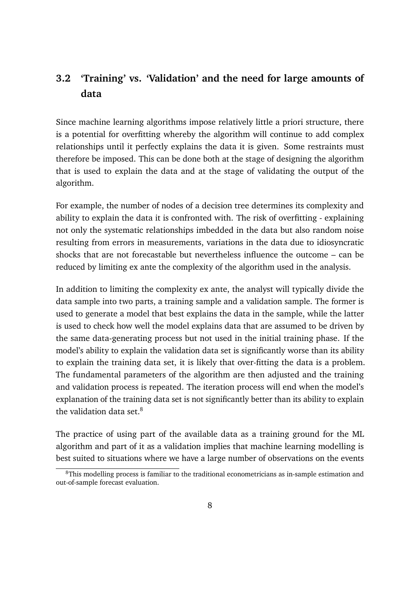# **3.2 'Training' vs. 'Validation' and the need for large amounts of data**

Since machine learning algorithms impose relatively little a priori structure, there is a potential for overfitting whereby the algorithm will continue to add complex relationships until it perfectly explains the data it is given. Some restraints must therefore be imposed. This can be done both at the stage of designing the algorithm that is used to explain the data and at the stage of validating the output of the algorithm.

For example, the number of nodes of a decision tree determines its complexity and ability to explain the data it is confronted with. The risk of overfitting - explaining not only the systematic relationships imbedded in the data but also random noise resulting from errors in measurements, variations in the data due to idiosyncratic shocks that are not forecastable but nevertheless influence the outcome – can be reduced by limiting ex ante the complexity of the algorithm used in the analysis.

In addition to limiting the complexity ex ante, the analyst will typically divide the data sample into two parts, a training sample and a validation sample. The former is used to generate a model that best explains the data in the sample, while the latter is used to check how well the model explains data that are assumed to be driven by the same data-generating process but not used in the initial training phase. If the model's ability to explain the validation data set is significantly worse than its ability to explain the training data set, it is likely that over-fitting the data is a problem. The fundamental parameters of the algorithm are then adjusted and the training and validation process is repeated. The iteration process will end when the model's explanation of the training data set is not significantly better than its ability to explain the validation data set. $8$ 

The practice of using part of the available data as a training ground for the ML algorithm and part of it as a validation implies that machine learning modelling is best suited to situations where we have a large number of observations on the events

<sup>&</sup>lt;sup>8</sup>This modelling process is familiar to the traditional econometricians as in-sample estimation and out-of-sample forecast evaluation.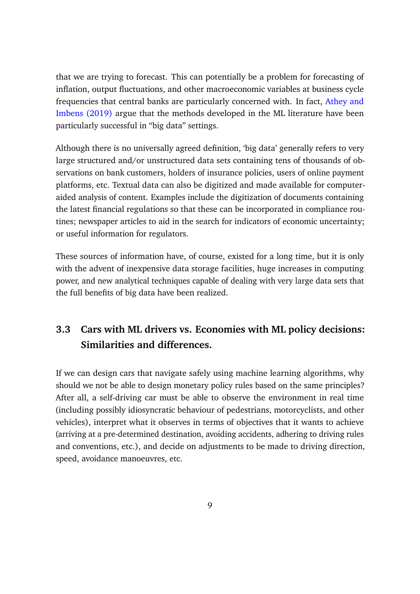that we are trying to forecast. This can potentially be a problem for forecasting of inflation, output fluctuations, and other macroeconomic variables at business cycle frequencies that central banks are particularly concerned with. In fact, Athey and Imbens (2019) argue that the methods developed in the ML literature have been particularly successful in "big data" settings.

Although there is no universally agreed definition, 'big data' generally refers to very large structured and/or unstructured data sets containing tens of thousands of observations on bank customers, holders of insurance policies, users of online payment platforms, etc. Textual data can also be digitized and made available for computeraided analysis of content. Examples include the digitization of documents containing the latest financial regulations so that these can be incorporated in compliance routines; newspaper articles to aid in the search for indicators of economic uncertainty; or useful information for regulators.

These sources of information have, of course, existed for a long time, but it is only with the advent of inexpensive data storage facilities, huge increases in computing power, and new analytical techniques capable of dealing with very large data sets that the full benefits of big data have been realized.

## **3.3 Cars with ML drivers vs. Economies with ML policy decisions: Similarities and differences.**

If we can design cars that navigate safely using machine learning algorithms, why should we not be able to design monetary policy rules based on the same principles? After all, a self-driving car must be able to observe the environment in real time (including possibly idiosyncratic behaviour of pedestrians, motorcyclists, and other vehicles), interpret what it observes in terms of objectives that it wants to achieve (arriving at a pre-determined destination, avoiding accidents, adhering to driving rules and conventions, etc.), and decide on adjustments to be made to driving direction, speed, avoidance manoeuvres, etc.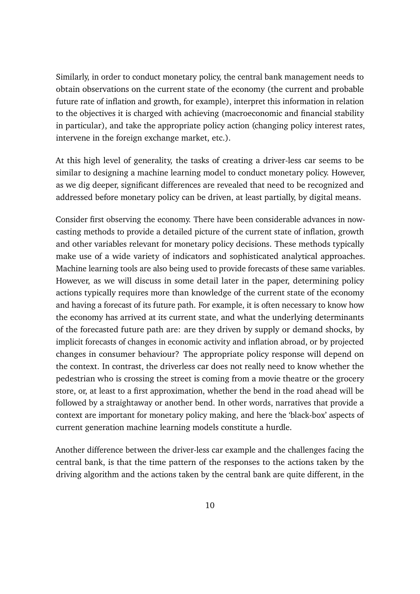Similarly, in order to conduct monetary policy, the central bank management needs to obtain observations on the current state of the economy (the current and probable future rate of inflation and growth, for example), interpret this information in relation to the objectives it is charged with achieving (macroeconomic and financial stability in particular), and take the appropriate policy action (changing policy interest rates, intervene in the foreign exchange market, etc.).

At this high level of generality, the tasks of creating a driver-less car seems to be similar to designing a machine learning model to conduct monetary policy. However, as we dig deeper, significant differences are revealed that need to be recognized and addressed before monetary policy can be driven, at least partially, by digital means.

Consider first observing the economy. There have been considerable advances in nowcasting methods to provide a detailed picture of the current state of inflation, growth and other variables relevant for monetary policy decisions. These methods typically make use of a wide variety of indicators and sophisticated analytical approaches. Machine learning tools are also being used to provide forecasts of these same variables. However, as we will discuss in some detail later in the paper, determining policy actions typically requires more than knowledge of the current state of the economy and having a forecast of its future path. For example, it is often necessary to know how the economy has arrived at its current state, and what the underlying determinants of the forecasted future path are: are they driven by supply or demand shocks, by implicit forecasts of changes in economic activity and inflation abroad, or by projected changes in consumer behaviour? The appropriate policy response will depend on the context. In contrast, the driverless car does not really need to know whether the pedestrian who is crossing the street is coming from a movie theatre or the grocery store, or, at least to a first approximation, whether the bend in the road ahead will be followed by a straightaway or another bend. In other words, narratives that provide a context are important for monetary policy making, and here the 'black-box' aspects of current generation machine learning models constitute a hurdle.

Another difference between the driver-less car example and the challenges facing the central bank, is that the time pattern of the responses to the actions taken by the driving algorithm and the actions taken by the central bank are quite different, in the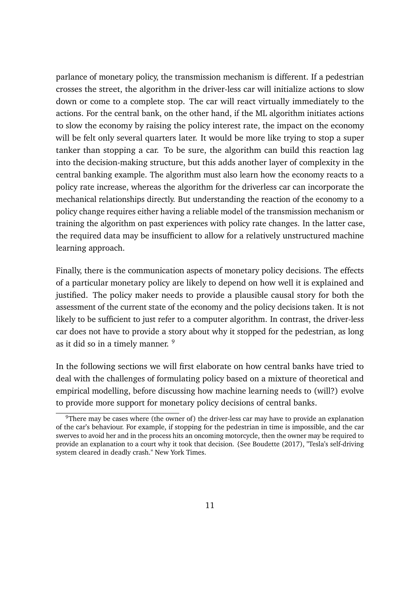parlance of monetary policy, the transmission mechanism is different. If a pedestrian crosses the street, the algorithm in the driver-less car will initialize actions to slow down or come to a complete stop. The car will react virtually immediately to the actions. For the central bank, on the other hand, if the ML algorithm initiates actions to slow the economy by raising the policy interest rate, the impact on the economy will be felt only several quarters later. It would be more like trying to stop a super tanker than stopping a car. To be sure, the algorithm can build this reaction lag into the decision-making structure, but this adds another layer of complexity in the central banking example. The algorithm must also learn how the economy reacts to a policy rate increase, whereas the algorithm for the driverless car can incorporate the mechanical relationships directly. But understanding the reaction of the economy to a policy change requires either having a reliable model of the transmission mechanism or training the algorithm on past experiences with policy rate changes. In the latter case, the required data may be insufficient to allow for a relatively unstructured machine learning approach.

Finally, there is the communication aspects of monetary policy decisions. The effects of a particular monetary policy are likely to depend on how well it is explained and justified. The policy maker needs to provide a plausible causal story for both the assessment of the current state of the economy and the policy decisions taken. It is not likely to be sufficient to just refer to a computer algorithm. In contrast, the driver-less car does not have to provide a story about why it stopped for the pedestrian, as long as it did so in a timely manner. <sup>9</sup>

In the following sections we will first elaborate on how central banks have tried to deal with the challenges of formulating policy based on a mixture of theoretical and empirical modelling, before discussing how machine learning needs to (will?) evolve to provide more support for monetary policy decisions of central banks.

 $9$ There may be cases where (the owner of) the driver-less car may have to provide an explanation of the car's behaviour. For example, if stopping for the pedestrian in time is impossible, and the car swerves to avoid her and in the process hits an oncoming motorcycle, then the owner may be required to provide an explanation to a court why it took that decision. {See Boudette (2017), "Tesla's self-driving system cleared in deadly crash." New York Times.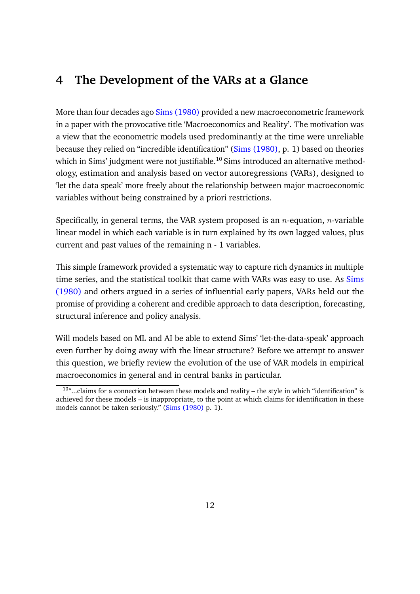# **4 The Development of the VARs at a Glance**

More than four decades ago Sims (1980) provided a new macroeconometric framework in a paper with the provocative title 'Macroeconomics and Reality'. The motivation was a view that the econometric models used predominantly at the time were unreliable because they relied on "incredible identification" (Sims (1980), p. 1) based on theories which in Sims' judgment were not justifiable.<sup>10</sup> Sims introduced an alternative methodology, estimation and analysis based on vector autoregressions (VARs), designed to 'let the data speak' more freely about the relationship between major macroeconomic variables without being constrained by a priori restrictions.

Specifically, in general terms, the VAR system proposed is an  $n$ -equation,  $n$ -variable linear model in which each variable is in turn explained by its own lagged values, plus current and past values of the remaining n - 1 variables.

This simple framework provided a systematic way to capture rich dynamics in multiple time series, and the statistical toolkit that came with VARs was easy to use. As Sims (1980) and others argued in a series of influential early papers, VARs held out the promise of providing a coherent and credible approach to data description, forecasting, structural inference and policy analysis.

Will models based on ML and AI be able to extend Sims' 'let-the-data-speak' approach even further by doing away with the linear structure? Before we attempt to answer this question, we briefly review the evolution of the use of VAR models in empirical macroeconomics in general and in central banks in particular.

 $10^{\circ}$ ...claims for a connection between these models and reality – the style in which "identification" is achieved for these models – is inappropriate, to the point at which claims for identification in these models cannot be taken seriously." (Sims (1980) p. 1).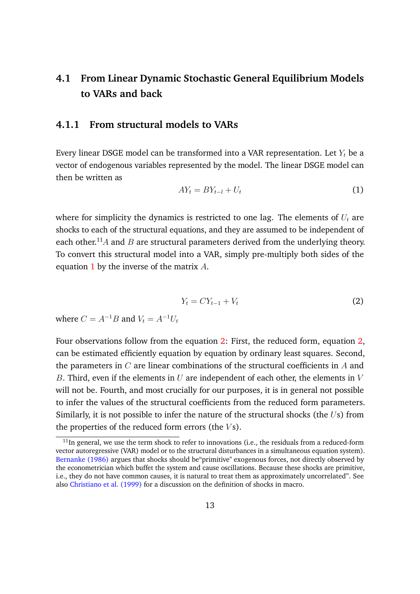## **4.1 From Linear Dynamic Stochastic General Equilibrium Models to VARs and back**

#### **4.1.1 From structural models to VARs**

Every linear DSGE model can be transformed into a VAR representation. Let  $Y_t$  be a vector of endogenous variables represented by the model. The linear DSGE model can then be written as

$$
AY_t = BY_{t-l} + U_t \tag{1}
$$

where for simplicity the dynamics is restricted to one lag. The elements of  $U_t$  are shocks to each of the structural equations, and they are assumed to be independent of each other.<sup>11</sup>A and B are structural parameters derived from the underlying theory. To convert this structural model into a VAR, simply pre-multiply both sides of the equation 1 by the inverse of the matrix A.

$$
Y_t = CY_{t-1} + V_t \tag{2}
$$

where  $C = A^{-1}B$  and  $V_t = A^{-1}U_t$ 

Four observations follow from the equation 2: First, the reduced form, equation 2, can be estimated efficiently equation by equation by ordinary least squares. Second, the parameters in  $C$  are linear combinations of the structural coefficients in  $A$  and B. Third, even if the elements in  $U$  are independent of each other, the elements in  $V$ will not be. Fourth, and most crucially for our purposes, it is in general not possible to infer the values of the structural coefficients from the reduced form parameters. Similarly, it is not possible to infer the nature of the structural shocks (the  $Us$ ) from the properties of the reduced form errors (the  $Vs$ ).

 $11$ In general, we use the term shock to refer to innovations (i.e., the residuals from a reduced-form vector autoregressive (VAR) model or to the structural disturbances in a simultaneous equation system). Bernanke (1986) argues that shocks should be"primitive" exogenous forces, not directly observed by the econometrician which buffet the system and cause oscillations. Because these shocks are primitive, i.e., they do not have common causes, it is natural to treat them as approximately uncorrelated". See also Christiano et al. (1999) for a discussion on the definition of shocks in macro.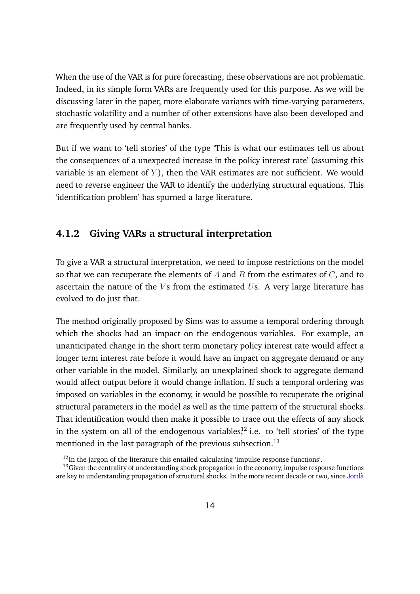When the use of the VAR is for pure forecasting, these observations are not problematic. Indeed, in its simple form VARs are frequently used for this purpose. As we will be discussing later in the paper, more elaborate variants with time-varying parameters, stochastic volatility and a number of other extensions have also been developed and are frequently used by central banks.

But if we want to 'tell stories' of the type 'This is what our estimates tell us about the consequences of a unexpected increase in the policy interest rate' (assuming this variable is an element of  $Y$ ), then the VAR estimates are not sufficient. We would need to reverse engineer the VAR to identify the underlying structural equations. This 'identification problem' has spurned a large literature.

#### **4.1.2 Giving VARs a structural interpretation**

To give a VAR a structural interpretation, we need to impose restrictions on the model so that we can recuperate the elements of  $A$  and  $B$  from the estimates of  $C$ , and to ascertain the nature of the  $V$ s from the estimated  $U$ s. A very large literature has evolved to do just that.

The method originally proposed by Sims was to assume a temporal ordering through which the shocks had an impact on the endogenous variables. For example, an unanticipated change in the short term monetary policy interest rate would affect a longer term interest rate before it would have an impact on aggregate demand or any other variable in the model. Similarly, an unexplained shock to aggregate demand would affect output before it would change inflation. If such a temporal ordering was imposed on variables in the economy, it would be possible to recuperate the original structural parameters in the model as well as the time pattern of the structural shocks. That identification would then make it possible to trace out the effects of any shock in the system on all of the endogenous variables, $^{12}$  i.e. to 'tell stories' of the type mentioned in the last paragraph of the previous subsection.<sup>13</sup>

 $12$ In the jargon of the literature this entailed calculating 'impulse response functions'.

 $13$ Given the centrality of understanding shock propagation in the economy, impulse response functions are key to understanding propagation of structural shocks. In the more recent decade or two, since Jordà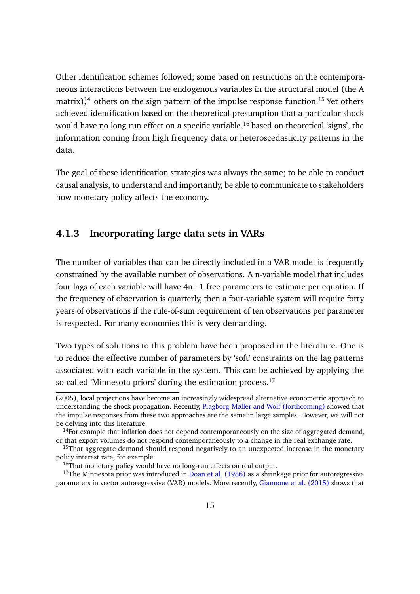Other identification schemes followed; some based on restrictions on the contemporaneous interactions between the endogenous variables in the structural model (the A matrix) $14$  others on the sign pattern of the impulse response function.<sup>15</sup> Yet others achieved identification based on the theoretical presumption that a particular shock would have no long run effect on a specific variable,<sup>16</sup> based on theoretical 'signs', the information coming from high frequency data or heteroscedasticity patterns in the data.

The goal of these identification strategies was always the same; to be able to conduct causal analysis, to understand and importantly, be able to communicate to stakeholders how monetary policy affects the economy.

#### **4.1.3 Incorporating large data sets in VARs**

The number of variables that can be directly included in a VAR model is frequently constrained by the available number of observations. A n-variable model that includes four lags of each variable will have  $4n+1$  free parameters to estimate per equation. If the frequency of observation is quarterly, then a four-variable system will require forty years of observations if the rule-of-sum requirement of ten observations per parameter is respected. For many economies this is very demanding.

Two types of solutions to this problem have been proposed in the literature. One is to reduce the effective number of parameters by 'soft' constraints on the lag patterns associated with each variable in the system. This can be achieved by applying the so-called 'Minnesota priors' during the estimation process.<sup>17</sup>

<sup>(2005),</sup> local projections have become an increasingly widespread alternative econometric approach to understanding the shock propagation. Recently, Plagborg-Møller and Wolf (forthcoming) showed that the impulse responses from these two approaches are the same in large samples. However, we will not be delving into this literature.

 $14$ For example that inflation does not depend contemporaneously on the size of aggregated demand, or that export volumes do not respond contemporaneously to a change in the real exchange rate.

<sup>&</sup>lt;sup>15</sup>That aggregate demand should respond negatively to an unexpected increase in the monetary policy interest rate, for example.

<sup>&</sup>lt;sup>16</sup>That monetary policy would have no long-run effects on real output.

<sup>&</sup>lt;sup>17</sup>The Minnesota prior was introduced in Doan et al. (1986) as a shrinkage prior for autoregressive parameters in vector autoregressive (VAR) models. More recently, Giannone et al. (2015) shows that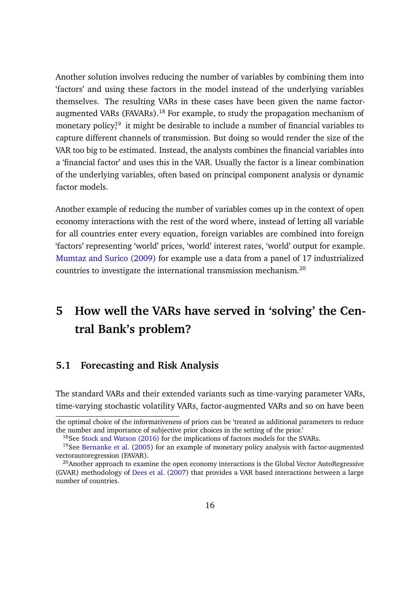Another solution involves reducing the number of variables by combining them into 'factors' and using these factors in the model instead of the underlying variables themselves. The resulting VARs in these cases have been given the name factoraugmented VARs (FAVARs).<sup>18</sup> For example, to study the propagation mechanism of monetary policy,<sup>19</sup> it might be desirable to include a number of financial variables to capture different channels of transmission. But doing so would render the size of the VAR too big to be estimated. Instead, the analysts combines the financial variables into a 'financial factor' and uses this in the VAR. Usually the factor is a linear combination of the underlying variables, often based on principal component analysis or dynamic factor models.

Another example of reducing the number of variables comes up in the context of open economy interactions with the rest of the word where, instead of letting all variable for all countries enter every equation, foreign variables are combined into foreign 'factors' representing 'world' prices, 'world' interest rates, 'world' output for example. Mumtaz and Surico (2009) for example use a data from a panel of 17 industrialized countries to investigate the international transmission mechanism.<sup>20</sup>

# **5 How well the VARs have served in 'solving' the Central Bank's problem?**

#### **5.1 Forecasting and Risk Analysis**

The standard VARs and their extended variants such as time-varying parameter VARs, time-varying stochastic volatility VARs, factor-augmented VARs and so on have been

the optimal choice of the informativeness of priors can be 'treated as additional parameters to reduce the number and importance of subjective prior choices in the setting of the prior.'

<sup>&</sup>lt;sup>18</sup>See Stock and Watson (2016) for the implications of factors models for the SVARs.

<sup>&</sup>lt;sup>19</sup>See Bernanke et al. (2005) for an example of monetary policy analysis with factor-augmented vectorautoregression (FAVAR).

 $20$ Another approach to examine the open economy interactions is the Global Vector AutoRegressive (GVAR) methodology of Dees et al. (2007) that provides a VAR based interactions between a large number of countries.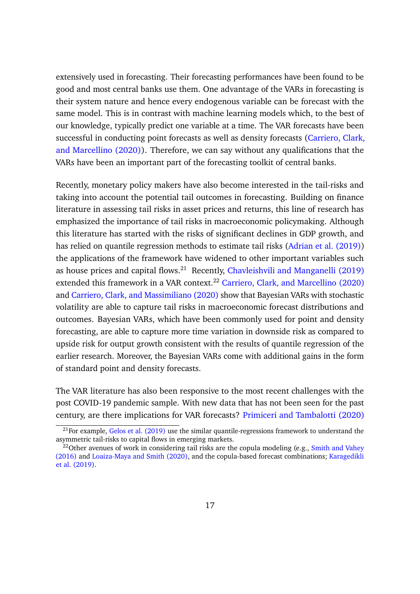extensively used in forecasting. Their forecasting performances have been found to be good and most central banks use them. One advantage of the VARs in forecasting is their system nature and hence every endogenous variable can be forecast with the same model. This is in contrast with machine learning models which, to the best of our knowledge, typically predict one variable at a time. The VAR forecasts have been successful in conducting point forecasts as well as density forecasts (Carriero, Clark, and Marcellino (2020)). Therefore, we can say without any qualifications that the VARs have been an important part of the forecasting toolkit of central banks.

Recently, monetary policy makers have also become interested in the tail-risks and taking into account the potential tail outcomes in forecasting. Building on finance literature in assessing tail risks in asset prices and returns, this line of research has emphasized the importance of tail risks in macroeconomic policymaking. Although this literature has started with the risks of significant declines in GDP growth, and has relied on quantile regression methods to estimate tail risks (Adrian et al. (2019)) the applications of the framework have widened to other important variables such as house prices and capital flows.<sup>21</sup> Recently, Chavleishvili and Manganelli (2019) extended this framework in a VAR context.<sup>22</sup> Carriero, Clark, and Marcellino (2020) and Carriero, Clark, and Massimiliano (2020) show that Bayesian VARs with stochastic volatility are able to capture tail risks in macroeconomic forecast distributions and outcomes. Bayesian VARs, which have been commonly used for point and density forecasting, are able to capture more time variation in downside risk as compared to upside risk for output growth consistent with the results of quantile regression of the earlier research. Moreover, the Bayesian VARs come with additional gains in the form of standard point and density forecasts.

The VAR literature has also been responsive to the most recent challenges with the post COVID-19 pandemic sample. With new data that has not been seen for the past century, are there implications for VAR forecasts? Primiceri and Tambalotti (2020)

 $^{21}$ For example, Gelos et al. (2019) use the similar quantile-regressions framework to understand the asymmetric tail-risks to capital flows in emerging markets.

 $\frac{22}{2}$ Other avenues of work in considering tail risks are the copula modeling (e.g., Smith and Vahey (2016) and Loaiza-Maya and Smith (2020), and the copula-based forecast combinations; Karagedikli et al. (2019).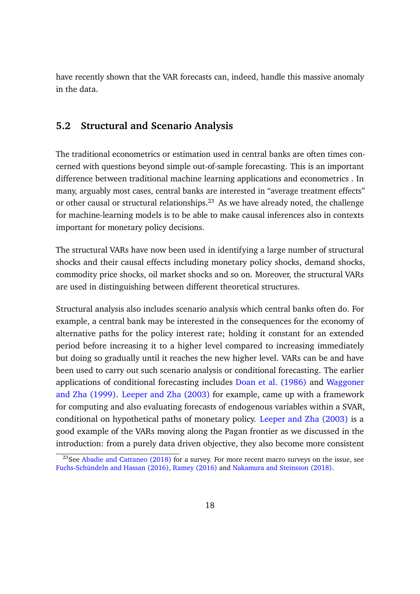have recently shown that the VAR forecasts can, indeed, handle this massive anomaly in the data.

#### **5.2 Structural and Scenario Analysis**

The traditional econometrics or estimation used in central banks are often times concerned with questions beyond simple out-of-sample forecasting. This is an important difference between traditional machine learning applications and econometrics . In many, arguably most cases, central banks are interested in "average treatment effects" or other causal or structural relationships.<sup>23</sup> As we have already noted, the challenge for machine-learning models is to be able to make causal inferences also in contexts important for monetary policy decisions.

The structural VARs have now been used in identifying a large number of structural shocks and their causal effects including monetary policy shocks, demand shocks, commodity price shocks, oil market shocks and so on. Moreover, the structural VARs are used in distinguishing between different theoretical structures.

Structural analysis also includes scenario analysis which central banks often do. For example, a central bank may be interested in the consequences for the economy of alternative paths for the policy interest rate; holding it constant for an extended period before increasing it to a higher level compared to increasing immediately but doing so gradually until it reaches the new higher level. VARs can be and have been used to carry out such scenario analysis or conditional forecasting. The earlier applications of conditional forecasting includes Doan et al. (1986) and Waggoner and Zha (1999). Leeper and Zha (2003) for example, came up with a framework for computing and also evaluating forecasts of endogenous variables within a SVAR, conditional on hypothetical paths of monetary policy. Leeper and Zha (2003) is a good example of the VARs moving along the Pagan frontier as we discussed in the introduction: from a purely data driven objective, they also become more consistent

<sup>&</sup>lt;sup>23</sup>See Abadie and Cattaneo (2018) for a survey. For more recent macro surveys on the issue, see Fuchs-Schündeln and Hassan (2016), Ramey (2016) and Nakamura and Steinsson (2018).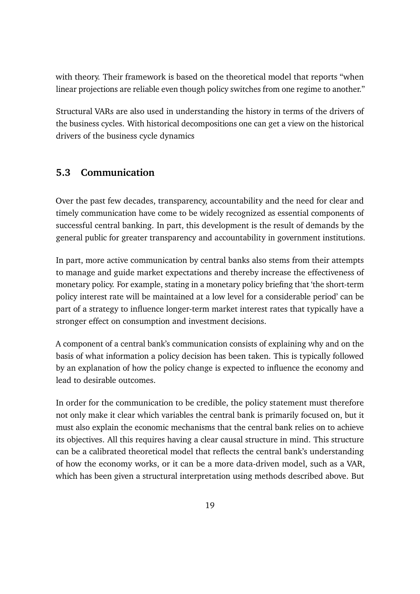with theory. Their framework is based on the theoretical model that reports "when linear projections are reliable even though policy switches from one regime to another."

Structural VARs are also used in understanding the history in terms of the drivers of the business cycles. With historical decompositions one can get a view on the historical drivers of the business cycle dynamics

### **5.3 Communication**

Over the past few decades, transparency, accountability and the need for clear and timely communication have come to be widely recognized as essential components of successful central banking. In part, this development is the result of demands by the general public for greater transparency and accountability in government institutions.

In part, more active communication by central banks also stems from their attempts to manage and guide market expectations and thereby increase the effectiveness of monetary policy. For example, stating in a monetary policy briefing that 'the short-term policy interest rate will be maintained at a low level for a considerable period' can be part of a strategy to influence longer-term market interest rates that typically have a stronger effect on consumption and investment decisions.

A component of a central bank's communication consists of explaining why and on the basis of what information a policy decision has been taken. This is typically followed by an explanation of how the policy change is expected to influence the economy and lead to desirable outcomes.

In order for the communication to be credible, the policy statement must therefore not only make it clear which variables the central bank is primarily focused on, but it must also explain the economic mechanisms that the central bank relies on to achieve its objectives. All this requires having a clear causal structure in mind. This structure can be a calibrated theoretical model that reflects the central bank's understanding of how the economy works, or it can be a more data-driven model, such as a VAR, which has been given a structural interpretation using methods described above. But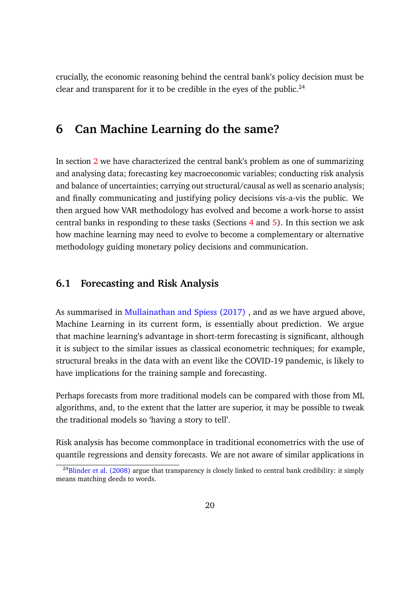crucially, the economic reasoning behind the central bank's policy decision must be clear and transparent for it to be credible in the eyes of the public. $^{24}$ 

### **6 Can Machine Learning do the same?**

In section 2 we have characterized the central bank's problem as one of summarizing and analysing data; forecasting key macroeconomic variables; conducting risk analysis and balance of uncertainties; carrying out structural/causal as well as scenario analysis; and finally communicating and justifying policy decisions vis-a-vis the public. We then argued how VAR methodology has evolved and become a work-horse to assist central banks in responding to these tasks (Sections 4 and 5). In this section we ask how machine learning may need to evolve to become a complementary or alternative methodology guiding monetary policy decisions and communication.

#### **6.1 Forecasting and Risk Analysis**

As summarised in Mullainathan and Spiess (2017) , and as we have argued above, Machine Learning in its current form, is essentially about prediction. We argue that machine learning's advantage in short-term forecasting is significant, although it is subject to the similar issues as classical econometric techniques; for example, structural breaks in the data with an event like the COVID-19 pandemic, is likely to have implications for the training sample and forecasting.

Perhaps forecasts from more traditional models can be compared with those from ML algorithms, and, to the extent that the latter are superior, it may be possible to tweak the traditional models so 'having a story to tell'.

Risk analysis has become commonplace in traditional econometrics with the use of quantile regressions and density forecasts. We are not aware of similar applications in

 $^{24}$ Blinder et al. (2008) argue that transparency is closely linked to central bank credibility: it simply means matching deeds to words.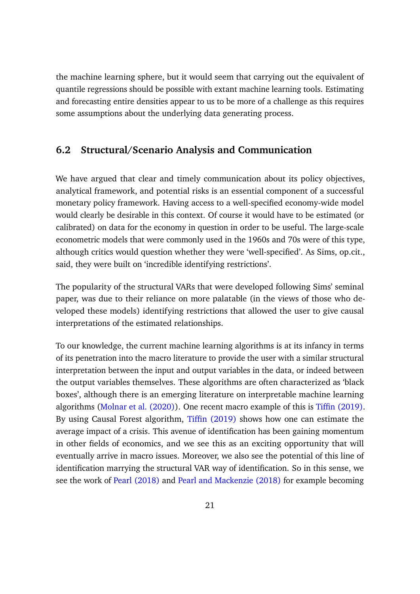the machine learning sphere, but it would seem that carrying out the equivalent of quantile regressions should be possible with extant machine learning tools. Estimating and forecasting entire densities appear to us to be more of a challenge as this requires some assumptions about the underlying data generating process.

#### **6.2 Structural/Scenario Analysis and Communication**

We have argued that clear and timely communication about its policy objectives, analytical framework, and potential risks is an essential component of a successful monetary policy framework. Having access to a well-specified economy-wide model would clearly be desirable in this context. Of course it would have to be estimated (or calibrated) on data for the economy in question in order to be useful. The large-scale econometric models that were commonly used in the 1960s and 70s were of this type, although critics would question whether they were 'well-specified'. As Sims, op.cit., said, they were built on 'incredible identifying restrictions'.

The popularity of the structural VARs that were developed following Sims' seminal paper, was due to their reliance on more palatable (in the views of those who developed these models) identifying restrictions that allowed the user to give causal interpretations of the estimated relationships.

To our knowledge, the current machine learning algorithms is at its infancy in terms of its penetration into the macro literature to provide the user with a similar structural interpretation between the input and output variables in the data, or indeed between the output variables themselves. These algorithms are often characterized as 'black boxes', although there is an emerging literature on interpretable machine learning algorithms (Molnar et al. (2020)). One recent macro example of this is Tiffin (2019). By using Causal Forest algorithm, Tiffin (2019) shows how one can estimate the average impact of a crisis. This avenue of identification has been gaining momentum in other fields of economics, and we see this as an exciting opportunity that will eventually arrive in macro issues. Moreover, we also see the potential of this line of identification marrying the structural VAR way of identification. So in this sense, we see the work of Pearl (2018) and Pearl and Mackenzie (2018) for example becoming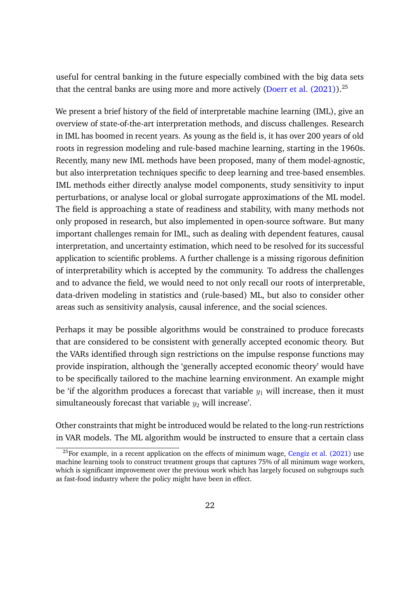useful for central banking in the future especially combined with the big data sets that the central banks are using more and more actively (Doerr et al.  $(2021)$ ).<sup>25</sup>

We present a brief history of the field of interpretable machine learning (IML), give an overview of state-of-the-art interpretation methods, and discuss challenges. Research in IML has boomed in recent years. As young as the field is, it has over 200 years of old roots in regression modeling and rule-based machine learning, starting in the 1960s. Recently, many new IML methods have been proposed, many of them model-agnostic, but also interpretation techniques specific to deep learning and tree-based ensembles. IML methods either directly analyse model components, study sensitivity to input perturbations, or analyse local or global surrogate approximations of the ML model. The field is approaching a state of readiness and stability, with many methods not only proposed in research, but also implemented in open-source software. But many important challenges remain for IML, such as dealing with dependent features, causal interpretation, and uncertainty estimation, which need to be resolved for its successful application to scientific problems. A further challenge is a missing rigorous definition of interpretability which is accepted by the community. To address the challenges and to advance the field, we would need to not only recall our roots of interpretable, data-driven modeling in statistics and (rule-based) ML, but also to consider other areas such as sensitivity analysis, causal inference, and the social sciences.

Perhaps it may be possible algorithms would be constrained to produce forecasts that are considered to be consistent with generally accepted economic theory. But the VARs identified through sign restrictions on the impulse response functions may provide inspiration, although the 'generally accepted economic theory' would have to be specifically tailored to the machine learning environment. An example might be 'if the algorithm produces a forecast that variable  $y_1$  will increase, then it must simultaneously forecast that variable  $y_2$  will increase'.

Other constraints that might be introduced would be related to the long-run restrictions in VAR models. The ML algorithm would be instructed to ensure that a certain class

<sup>&</sup>lt;sup>25</sup>For example, in a recent application on the effects of minimum wage, Cengiz et al. (2021) use machine learning tools to construct treatment groups that captures 75% of all minimum wage workers, which is significant improvement over the previous work which has largely focused on subgroups such as fast-food industry where the policy might have been in effect.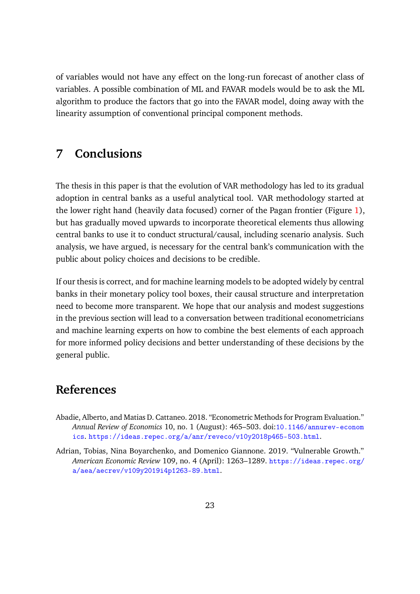of variables would not have any effect on the long-run forecast of another class of variables. A possible combination of ML and FAVAR models would be to ask the ML algorithm to produce the factors that go into the FAVAR model, doing away with the linearity assumption of conventional principal component methods.

### **7 Conclusions**

The thesis in this paper is that the evolution of VAR methodology has led to its gradual adoption in central banks as a useful analytical tool. VAR methodology started at the lower right hand (heavily data focused) corner of the Pagan frontier (Figure 1), but has gradually moved upwards to incorporate theoretical elements thus allowing central banks to use it to conduct structural/causal, including scenario analysis. Such analysis, we have argued, is necessary for the central bank's communication with the public about policy choices and decisions to be credible.

If our thesis is correct, and for machine learning models to be adopted widely by central banks in their monetary policy tool boxes, their causal structure and interpretation need to become more transparent. We hope that our analysis and modest suggestions in the previous section will lead to a conversation between traditional econometricians and machine learning experts on how to combine the best elements of each approach for more informed policy decisions and better understanding of these decisions by the general public.

### **References**

- Abadie, Alberto, and Matias D. Cattaneo. 2018. "Econometric Methods for Program Evaluation." *Annual Review of Economics* 10, no. 1 (August): 465–503. doi:10.1146/annurev-econom ics. https://ideas.repec.org/a/anr/reveco/v10y2018p465-503.html.
- Adrian, Tobias, Nina Boyarchenko, and Domenico Giannone. 2019. "Vulnerable Growth." *American Economic Review* 109, no. 4 (April): 1263–1289. https://ideas.repec.org/ a/aea/aecrev/v109y2019i4p1263-89.html.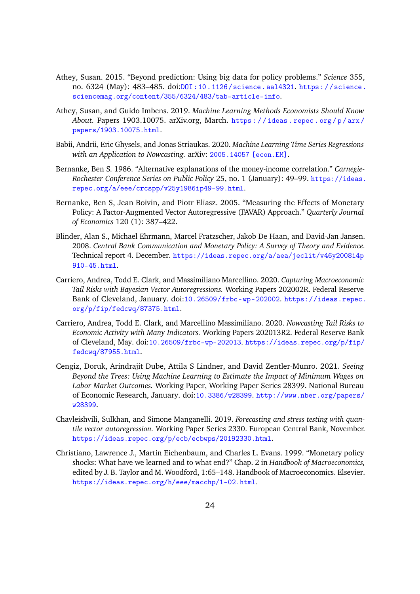- Athey, Susan. 2015. "Beyond prediction: Using big data for policy problems." *Science* 355, no. 6324 (May): 483–485. doi:DOI:10.1126/science.aal4321. https://science. sciencemag.org/content/355/6324/483/tab-article-info.
- Athey, Susan, and Guido Imbens. 2019. *Machine Learning Methods Economists Should Know About.* Papers 1903.10075. arXiv.org, March. https : / / ideas . repec . org / p / arx / papers/1903.10075.html.
- Babii, Andrii, Eric Ghysels, and Jonas Striaukas. 2020. *Machine Learning Time Series Regressions with an Application to Nowcasting.* arXiv: 2005.14057 [econ.EM].
- Bernanke, Ben S. 1986. "Alternative explanations of the money-income correlation." *Carnegie-Rochester Conference Series on Public Policy* 25, no. 1 (January): 49–99. https://ideas. repec.org/a/eee/crcspp/v25y1986ip49-99.html.
- Bernanke, Ben S, Jean Boivin, and Piotr Eliasz. 2005. "Measuring the Effects of Monetary Policy: A Factor-Augmented Vector Autoregressive (FAVAR) Approach." *Quarterly Journal of Economics* 120 (1): 387–422.
- Blinder, Alan S., Michael Ehrmann, Marcel Fratzscher, Jakob De Haan, and David-Jan Jansen. 2008. *Central Bank Communication and Monetary Policy: A Survey of Theory and Evidence.* Technical report 4. December. https://ideas.repec.org/a/aea/jeclit/v46y2008i4p 910-45.html.
- Carriero, Andrea, Todd E. Clark, and Massimiliano Marcellino. 2020. *Capturing Macroeconomic Tail Risks with Bayesian Vector Autoregressions.* Working Papers 202002R. Federal Reserve Bank of Cleveland, January. doi:10.26509/frbc-wp-202002. https://ideas.repec. org/p/fip/fedcwq/87375.html.
- Carriero, Andrea, Todd E. Clark, and Marcellino Massimiliano. 2020. *Nowcasting Tail Risks to Economic Activity with Many Indicators.* Working Papers 202013R2. Federal Reserve Bank of Cleveland, May. doi:10.26509/frbc-wp-202013. https://ideas.repec.org/p/fip/ fedcwq/87955.html.
- Cengiz, Doruk, Arindrajit Dube, Attila S Lindner, and David Zentler-Munro. 2021. *Seeing Beyond the Trees: Using Machine Learning to Estimate the Impact of Minimum Wages on Labor Market Outcomes.* Working Paper, Working Paper Series 28399. National Bureau of Economic Research, January. doi:10.3386/w28399. http://www.nber.org/papers/ w28399.
- Chavleishvili, Sulkhan, and Simone Manganelli. 2019. *Forecasting and stress testing with quantile vector autoregression.* Working Paper Series 2330. European Central Bank, November. https://ideas.repec.org/p/ecb/ecbwps/20192330.html.
- Christiano, Lawrence J., Martin Eichenbaum, and Charles L. Evans. 1999. "Monetary policy shocks: What have we learned and to what end?" Chap. 2 in *Handbook of Macroeconomics,* edited by J. B. Taylor and M. Woodford, 1:65–148. Handbook of Macroeconomics. Elsevier. https://ideas.repec.org/h/eee/macchp/1-02.html.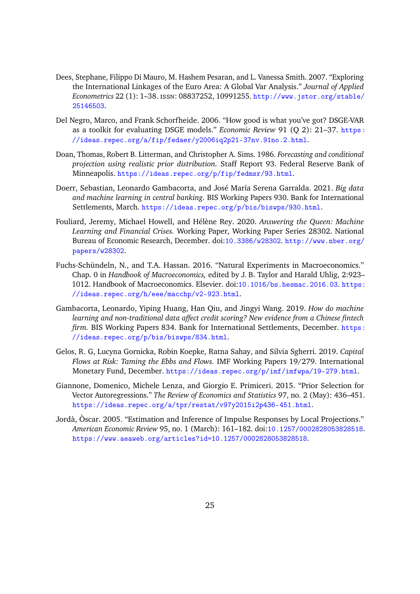- Dees, Stephane, Filippo Di Mauro, M. Hashem Pesaran, and L. Vanessa Smith. 2007. "Exploring the International Linkages of the Euro Area: A Global Var Analysis." *Journal of Applied Econometrics* 22 (1): 1–38. issn: 08837252, 10991255. http://www.jstor.org/stable/ 25146503.
- Del Negro, Marco, and Frank Schorfheide. 2006. "How good is what you've got? DSGE-VAR as a toolkit for evaluating DSGE models." *Economic Review* 91 (Q 2): 21–37. https : //ideas.repec.org/a/fip/fedaer/y2006iq2p21-37nv.91no.2.html.
- Doan, Thomas, Robert B. Litterman, and Christopher A. Sims. 1986. *Forecasting and conditional projection using realistic prior distribution.* Staff Report 93. Federal Reserve Bank of Minneapolis. https://ideas.repec.org/p/fip/fedmsr/93.html.
- Doerr, Sebastian, Leonardo Gambacorta, and José María Serena Garralda. 2021. *Big data and machine learning in central banking.* BIS Working Papers 930. Bank for International Settlements, March. https://ideas.repec.org/p/bis/biswps/930.html.
- Fouliard, Jeremy, Michael Howell, and Hélène Rey. 2020. *Answering the Queen: Machine Learning and Financial Crises.* Working Paper, Working Paper Series 28302. National Bureau of Economic Research, December. doi:10.3386/w28302. http://www.nber.org/ papers/w28302.
- Fuchs-Schündeln, N., and T.A. Hassan. 2016. "Natural Experiments in Macroeconomics." Chap. 0 in *Handbook of Macroeconomics,* edited by J. B. Taylor and Harald Uhlig, 2:923– 1012. Handbook of Macroeconomics. Elsevier. doi:10.1016/bs.hesmac.2016.03. https: //ideas.repec.org/h/eee/macchp/v2-923.html.
- Gambacorta, Leonardo, Yiping Huang, Han Qiu, and Jingyi Wang. 2019. *How do machine learning and non-traditional data affect credit scoring? New evidence from a Chinese fintech firm.* BIS Working Papers 834. Bank for International Settlements, December. https: //ideas.repec.org/p/bis/biswps/834.html.
- Gelos, R. G, Lucyna Gornicka, Robin Koepke, Ratna Sahay, and Silvia Sgherri. 2019. *Capital Flows at Risk: Taming the Ebbs and Flows.* IMF Working Papers 19/279. International Monetary Fund, December. https://ideas.repec.org/p/imf/imfwpa/19-279.html.
- Giannone, Domenico, Michele Lenza, and Giorgio E. Primiceri. 2015. "Prior Selection for Vector Autoregressions." *The Review of Economics and Statistics* 97, no. 2 (May): 436–451. https://ideas.repec.org/a/tpr/restat/v97y2015i2p436-451.html.
- Jordà, Òscar. 2005. "Estimation and Inference of Impulse Responses by Local Projections." *American Economic Review* 95, no. 1 (March): 161–182. doi:10.1257/0002828053828518. https://www.aeaweb.org/articles?id=10.1257/0002828053828518.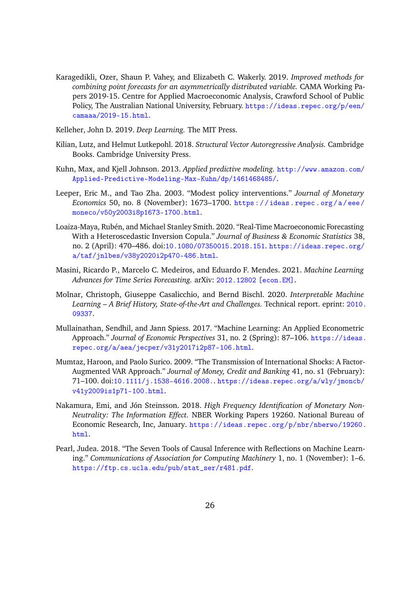- Karagedikli, Ozer, Shaun P. Vahey, and Elizabeth C. Wakerly. 2019. *Improved methods for combining point forecasts for an asymmetrically distributed variable.* CAMA Working Papers 2019-15. Centre for Applied Macroeconomic Analysis, Crawford School of Public Policy, The Australian National University, February. https://ideas.repec.org/p/een/ camaaa/2019-15.html.
- Kelleher, John D. 2019. *Deep Learning.* The MIT Press.
- Kilian, Lutz, and Helmut Lutkepohl. 2018. *Structural Vector Autoregressive Analysis.* Cambridge Books. Cambridge University Press.
- Kuhn, Max, and Kjell Johnson. 2013. *Applied predictive modeling.* http://www.amazon.com/ Applied-Predictive-Modeling-Max-Kuhn/dp/1461468485/.
- Leeper, Eric M., and Tao Zha. 2003. "Modest policy interventions." *Journal of Monetary Economics* 50, no. 8 (November): 1673–1700. https : / / ideas . repec . org / a / eee / moneco/v50y2003i8p1673-1700.html.
- Loaiza-Maya, Rubén, and Michael Stanley Smith. 2020. "Real-Time Macroeconomic Forecasting With a Heteroscedastic Inversion Copula." *Journal of Business & Economic Statistics* 38, no. 2 (April): 470–486. doi:10.1080/07350015.2018.151. https://ideas.repec.org/ a/taf/jnlbes/v38y2020i2p470-486.html.
- Masini, Ricardo P., Marcelo C. Medeiros, and Eduardo F. Mendes. 2021. *Machine Learning Advances for Time Series Forecasting.* arXiv: 2012.12802 [econ.EM].
- Molnar, Christoph, Giuseppe Casalicchio, and Bernd Bischl. 2020. *Interpretable Machine Learning – A Brief History, State-of-the-Art and Challenges.* Technical report. eprint: 2010. 09337.
- Mullainathan, Sendhil, and Jann Spiess. 2017. "Machine Learning: An Applied Econometric Approach." *Journal of Economic Perspectives* 31, no. 2 (Spring): 87-106. https://ideas. repec.org/a/aea/jecper/v31y2017i2p87-106.html.
- Mumtaz, Haroon, and Paolo Surico. 2009. "The Transmission of International Shocks: A Factor-Augmented VAR Approach." *Journal of Money, Credit and Banking* 41, no. s1 (February): 71–100. doi:10.1111/j.1538-4616.2008.. https://ideas.repec.org/a/wly/jmoncb/ v41y2009is1p71-100.html.
- Nakamura, Emi, and Jón Steinsson. 2018. *High Frequency Identification of Monetary Non-Neutrality: The Information Effect.* NBER Working Papers 19260. National Bureau of Economic Research, Inc, January. https://ideas.repec.org/p/nbr/nberwo/19260. html.
- Pearl, Judea. 2018. "The Seven Tools of Causal Inference with Reflections on Machine Learning." *Communications of Association for Computing Machinery* 1, no. 1 (November): 1–6. https://ftp.cs.ucla.edu/pub/stat\_ser/r481.pdf.